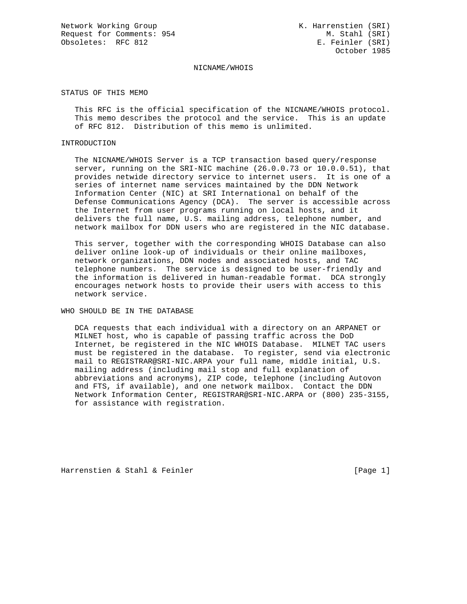Network Working Group Network Working Group Network K. Harrenstien (SRI) Request for Comments: 954 M. Stahl (SRI) Obsoletes: RFC 812 E. Feinler (SRI)

October 1985

## NICNAME/WHOIS

STATUS OF THIS MEMO

 This RFC is the official specification of the NICNAME/WHOIS protocol. This memo describes the protocol and the service. This is an update of RFC 812. Distribution of this memo is unlimited.

## INTRODUCTION

 The NICNAME/WHOIS Server is a TCP transaction based query/response server, running on the SRI-NIC machine (26.0.0.73 or 10.0.0.51), that provides netwide directory service to internet users. It is one of a series of internet name services maintained by the DDN Network Information Center (NIC) at SRI International on behalf of the Defense Communications Agency (DCA). The server is accessible across the Internet from user programs running on local hosts, and it delivers the full name, U.S. mailing address, telephone number, and network mailbox for DDN users who are registered in the NIC database.

 This server, together with the corresponding WHOIS Database can also deliver online look-up of individuals or their online mailboxes, network organizations, DDN nodes and associated hosts, and TAC telephone numbers. The service is designed to be user-friendly and the information is delivered in human-readable format. DCA strongly encourages network hosts to provide their users with access to this network service.

WHO SHOULD BE IN THE DATABASE

 DCA requests that each individual with a directory on an ARPANET or MILNET host, who is capable of passing traffic across the DoD Internet, be registered in the NIC WHOIS Database. MILNET TAC users must be registered in the database. To register, send via electronic mail to REGISTRAR@SRI-NIC.ARPA your full name, middle initial, U.S. mailing address (including mail stop and full explanation of abbreviations and acronyms), ZIP code, telephone (including Autovon and FTS, if available), and one network mailbox. Contact the DDN Network Information Center, REGISTRAR@SRI-NIC.ARPA or (800) 235-3155, for assistance with registration.

Harrenstien & Stahl & Feinler [Page 1]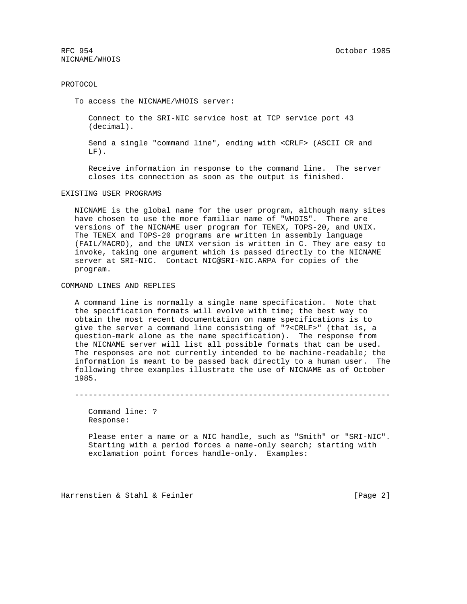RFC 954 October 1985 NICNAME/WHOIS

## PROTOCOL

To access the NICNAME/WHOIS server:

 Connect to the SRI-NIC service host at TCP service port 43 (decimal).

 Send a single "command line", ending with <CRLF> (ASCII CR and LF).

 Receive information in response to the command line. The server closes its connection as soon as the output is finished.

EXISTING USER PROGRAMS

 NICNAME is the global name for the user program, although many sites have chosen to use the more familiar name of "WHOIS". There are versions of the NICNAME user program for TENEX, TOPS-20, and UNIX. The TENEX and TOPS-20 programs are written in assembly language (FAIL/MACRO), and the UNIX version is written in C. They are easy to invoke, taking one argument which is passed directly to the NICNAME server at SRI-NIC. Contact NIC@SRI-NIC.ARPA for copies of the program.

COMMAND LINES AND REPLIES

 A command line is normally a single name specification. Note that the specification formats will evolve with time; the best way to obtain the most recent documentation on name specifications is to give the server a command line consisting of "?<CRLF>" (that is, a question-mark alone as the name specification). The response from the NICNAME server will list all possible formats that can be used. The responses are not currently intended to be machine-readable; the information is meant to be passed back directly to a human user. The following three examples illustrate the use of NICNAME as of October 1985.

---------------------------------------------------------------------

 Command line: ? Response:

 Please enter a name or a NIC handle, such as "Smith" or "SRI-NIC". Starting with a period forces a name-only search; starting with exclamation point forces handle-only. Examples:

Harrenstien & Stahl & Feinler [Page 2]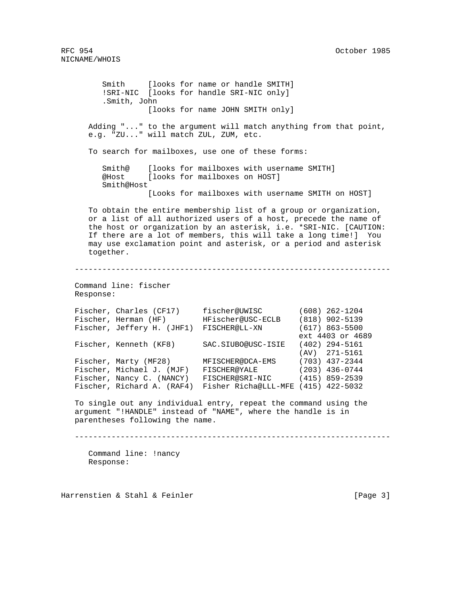Smith [looks for name or handle SMITH] !SRI-NIC [looks for handle SRI-NIC only] .Smith, John [looks for name JOHN SMITH only] Adding "..." to the argument will match anything from that point, e.g. "ZU..." will match ZUL, ZUM, etc. To search for mailboxes, use one of these forms: Smith@ [looks for mailboxes with username SMITH] @Host [looks for mailboxes on HOST] Smith@Host [Looks for mailboxes with username SMITH on HOST] To obtain the entire membership list of a group or organization, or a list of all authorized users of a host, precede the name of the host or organization by an asterisk, i.e. \*SRI-NIC. [CAUTION: If there are a lot of members, this will take a long time!] You may use exclamation point and asterisk, or a period and asterisk together. --------------------------------------------------------------------- Command line: fischer Response: Fischer, Charles (CF17) fischer@UWISC (608) 262-1204 Fischer, Herman (HF) HFischer@USC-ECLB (818) 902-5139 Fischer, Jeffery H. (JHF1) FISCHER@LL-XN (617) 863-5500 ext 4403 or 4689 Fischer, Kenneth (KF8) SAC.SIUBO@USC-ISIE (402) 294-5161 (AV) 271-5161 Fischer, Marty (MF28) MFISCHER@DCA-EMS (703) 437-2344 Fischer, Michael J. (MJF) FISCHER@YALE (203) 436-0744 Fischer, Nancy C. (NANCY) FISCHER@SRI-NIC (415) 859-2539 Fischer, Richard A. (RAF4) Fisher Richa@LLL-MFE (415) 422-5032 To single out any individual entry, repeat the command using the argument "!HANDLE" instead of "NAME", where the handle is in parentheses following the name. --------------------------------------------------------------------- Command line: !nancy Response:

Harrenstien & Stahl & Feinler [Page 3]